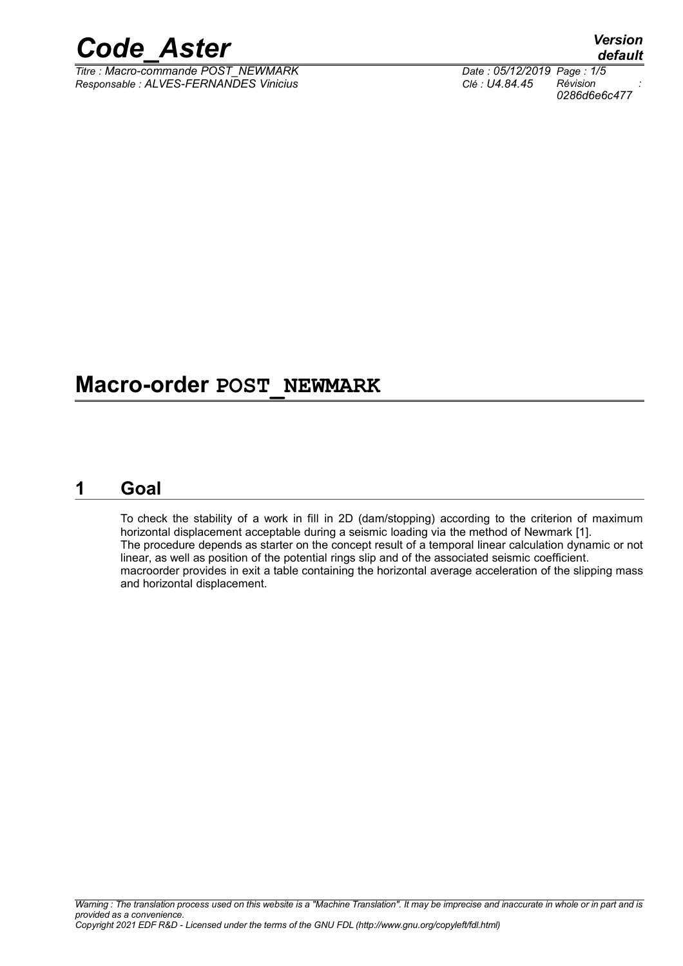

 $\overline{T}$ itre : Macro-commande POST\_NEWMARK *Responsable : ALVES-FERNANDES Vinicius Clé : U4.84.45 Révision :*

## **Macro-order POST\_NEWMARK**

## **1 Goal**

To check the stability of a work in fill in 2D (dam/stopping) according to the criterion of maximum horizontal displacement acceptable during a seismic loading via the method of Newmark [1]. The procedure depends as starter on the concept result of a temporal linear calculation dynamic or not linear, as well as position of the potential rings slip and of the associated seismic coefficient. macroorder provides in exit a table containing the horizontal average acceleration of the slipping mass and horizontal displacement.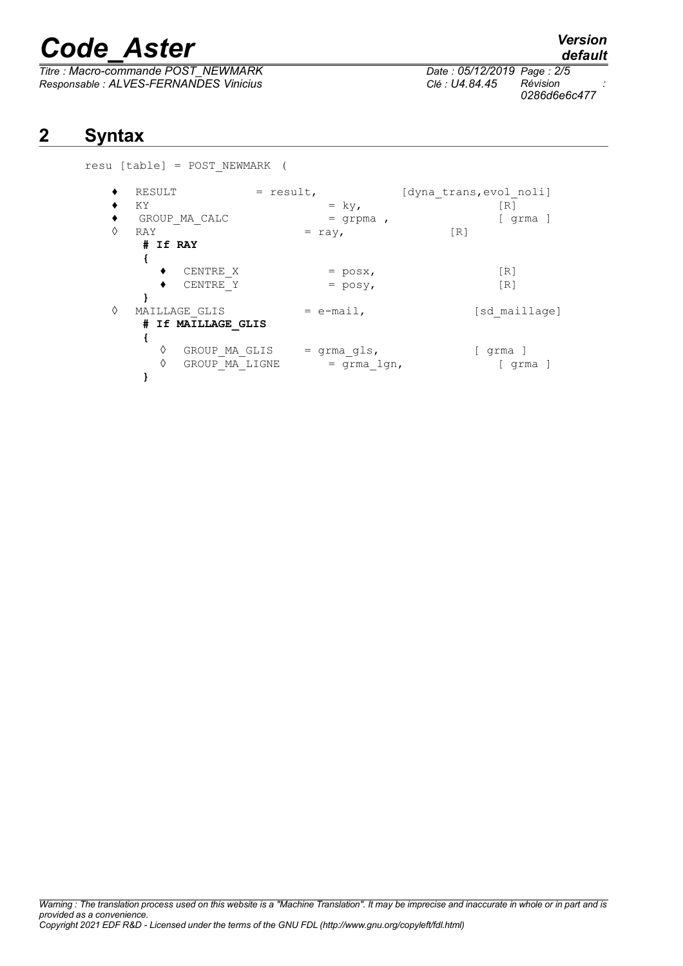*Titre : Macro-commande POST\_NEWMARK Date : 05/12/2019 Page : 2/5 Responsable : ALVES-FERNANDES Vinicius Clé : U4.84.45 Révision :*

*0286d6e6c477*

## **2 Syntax**

resu [table] = POST\_NEWMARK (

|   | RESULT              | $=$ result, | [dyna trans, evol noli] |
|---|---------------------|-------------|-------------------------|
|   | ΚY                  | $=$ ky,     | R1                      |
|   | GROUP MA CALC       | $=$ qrpma,  | grma                    |
| ♦ | RAY                 | $= ray,$    | $\lceil R \rceil$       |
|   | # If RAY            |             |                         |
|   |                     |             |                         |
|   | CENTRE X            | $=$ posx,   | $\lceil R \rceil$       |
|   | CENTRE Y            | $=$ posy,   | [R]                     |
|   |                     |             |                         |
| ♦ | MAILLAGE GLIS       | $=$ e-mail, | [sd maillage]           |
|   | # If MAILLAGE GLIS  |             |                         |
|   |                     |             |                         |
|   | ♦<br>GROUP MA GLIS  | = grma gls, | l grma J                |
|   | ♦<br>GROUP MA LIGNE | = grma lgn, | grma                    |
|   |                     |             |                         |

*default*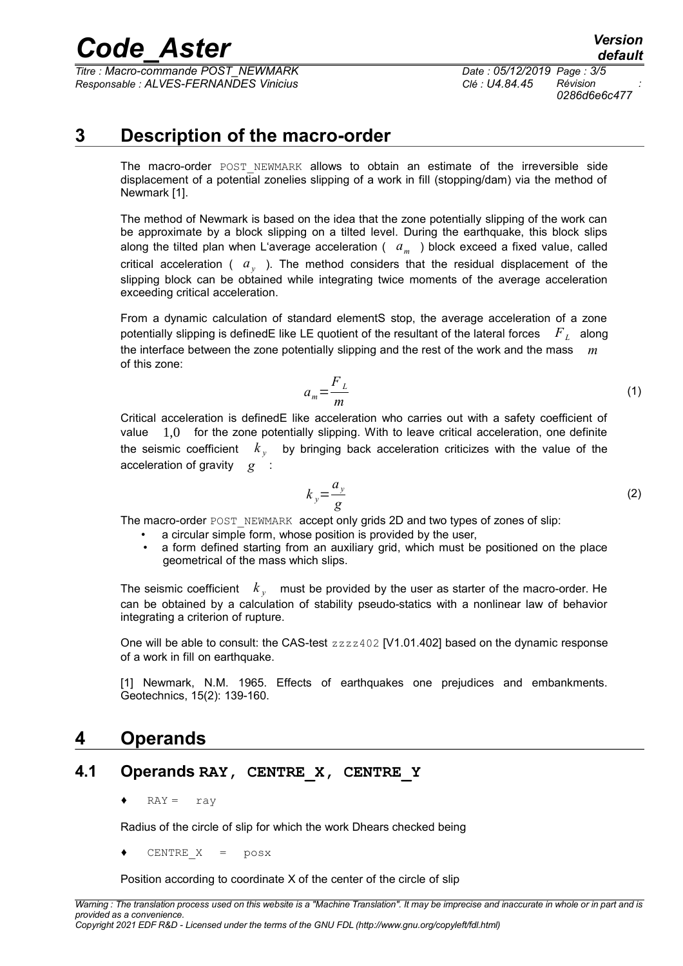*Titre : Macro-commande POST\_NEWMARK Date : 05/12/2019 Page : 3/5 Responsable : ALVES-FERNANDES Vinicius Clé : U4.84.45 Révision :*

## **3 Description of the macro-order**

The macro-order POST NEWMARK allows to obtain an estimate of the irreversible side displacement of a potential zonelies slipping of a work in fill (stopping/dam) via the method of Newmark [1].

The method of Newmark is based on the idea that the zone potentially slipping of the work can be approximate by a block slipping on a tilted level. During the earthquake, this block slips along the tilted plan when L'average acceleration ( *a<sup>m</sup>* ) block exceed a fixed value, called critical acceleration ( *a<sup>y</sup>* ). The method considers that the residual displacement of the slipping block can be obtained while integrating twice moments of the average acceleration exceeding critical acceleration.

From a dynamic calculation of standard elementS stop, the average acceleration of a zone potentially slipping is definedE like LE quotient of the resultant of the lateral forces *F<sup>L</sup>* along the interface between the zone potentially slipping and the rest of the work and the mass *m* of this zone:

$$
a_m = \frac{F_L}{m} \tag{1}
$$

Critical acceleration is definedE like acceleration who carries out with a safety coefficient of value 1,0 for the zone potentially slipping. With to leave critical acceleration, one definite the seismic coefficient *k <sup>y</sup>* by bringing back acceleration criticizes with the value of the acceleration of gravity *g* :

$$
k_y = \frac{a_y}{g} \tag{2}
$$

The macro-order POST\_NEWMARK accept only grids 2D and two types of zones of slip:

- a circular simple form, whose position is provided by the user.
- a form defined starting from an auxiliary grid, which must be positioned on the place geometrical of the mass which slips.

The seismic coefficient  $\,k_{_{{\cal Y}}} \,$  must be provided by the user as starter of the macro-order. He can be obtained by a calculation of stability pseudo-statics with a nonlinear law of behavior integrating a criterion of rupture.

One will be able to consult: the CAS-test  $zzzz402$  [V1.01.402] based on the dynamic response of a work in fill on earthquake.

[1] Newmark, N.M. 1965. Effects of earthquakes one prejudices and embankments. Geotechnics, 15(2): 139-160.

## **4 Operands**

### **4.1 Operands RAY, CENTRE\_X, CENTRE\_Y**

 $RAY = ray$ 

Radius of the circle of slip for which the work Dhears checked being

CENTRE  $X = p \cos x$ 

Position according to coordinate X of the center of the circle of slip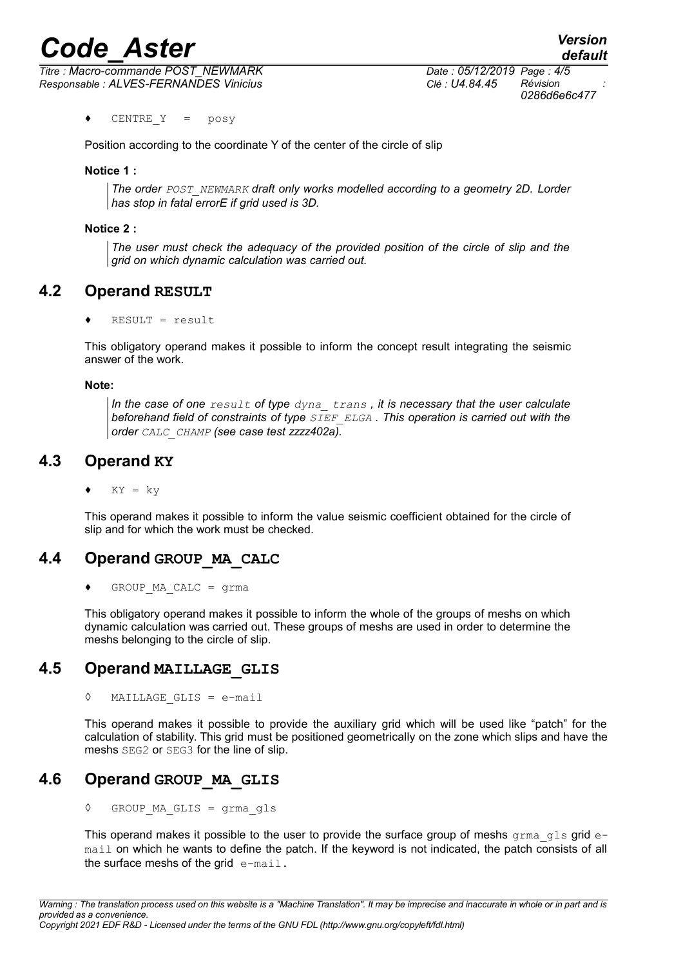*Titre : Macro-commande POST\_NEWMARK Date : 05/12/2019 Page : 4/5 Responsable : ALVES-FERNANDES Vinicius Clé : U4.84.45 Révision :*

♦ CENTRE\_Y = posy

Position according to the coordinate Y of the center of the circle of slip

#### **Notice 1 :**

*The order POST\_NEWMARK draft only works modelled according to a geometry 2D. Lorder has stop in fatal errorE if grid used is 3D.*

#### **Notice 2 :**

*The user must check the adequacy of the provided position of the circle of slip and the grid on which dynamic calculation was carried out.*

#### **4.2 Operand RESULT**

 $RESULT = result$ 

This obligatory operand makes it possible to inform the concept result integrating the seismic answer of the work.

#### **Note:**

*In the case of one result of type dyna\_ trans , it is necessary that the user calculate beforehand field of constraints of type SIEF\_ELGA . This operation is carried out with the order CALC\_CHAMP (see case test zzzz402a).*

#### **4.3 Operand KY**

 $KY = ky$ 

This operand makes it possible to inform the value seismic coefficient obtained for the circle of slip and for which the work must be checked.

#### **4.4 Operand GROUP\_MA\_CALC**

 $GROUP$  MA CALC = grma

This obligatory operand makes it possible to inform the whole of the groups of meshs on which dynamic calculation was carried out. These groups of meshs are used in order to determine the meshs belonging to the circle of slip.

#### **4.5 Operand MAILLAGE\_GLIS**

◊ MAILLAGE\_GLIS = e-mail

This operand makes it possible to provide the auxiliary grid which will be used like "patch" for the calculation of stability. This grid must be positioned geometrically on the zone which slips and have the meshs SEG2 or SEG3 for the line of slip.

#### **4.6 Operand GROUP\_MA\_GLIS**

◊ GROUP\_MA\_GLIS = grma\_gls

This operand makes it possible to the user to provide the surface group of meshs grma gls grid email on which he wants to define the patch. If the keyword is not indicated, the patch consists of all the surface meshs of the grid  $e$ -mail.